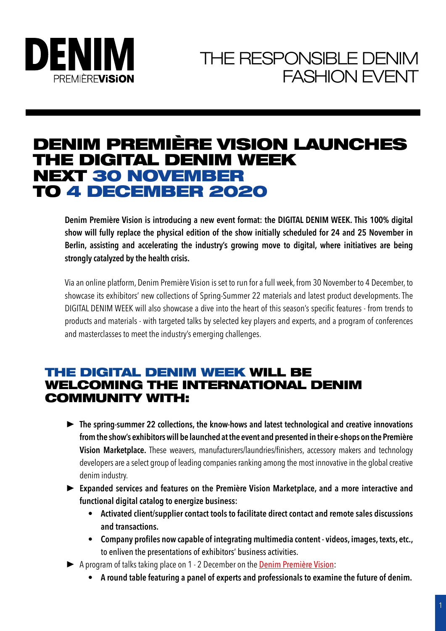

# DENIM PREMIÈRE VISION LAUNCHES THE DIGITAL DENIM WEEK NEXT 30 NOVEMBER TO 4 DECEMBER 2020

**Denim Première Vision is introducing a new event format: the DIGITAL DENIM WEEK. This 100% digital show will fully replace the physical edition of the show initially scheduled for 24 and 25 November in Berlin, assisting and accelerating the industry's growing move to digital, where initiatives are being strongly catalyzed by the health crisis.**

Via an online platform, Denim Première Vision is set to run for a full week, from 30 November to 4 December, to showcase its exhibitors' new collections of Spring-Summer 22 materials and latest product developments. The DIGITAL DENIM WEEK will also showcase a dive into the heart of this season's specific features - from trends to products and materials - with targeted talks by selected key players and experts, and a program of conferences and masterclasses to meet the industry's emerging challenges.

### THE DIGITAL DENIM WEEK WILL BE WELCOMING THE INTERNATIONAL DENIM COMMUNITY WITH:

- ▶ The spring-summer 22 collections, the know-hows and latest technological and creative innovations **from the show's exhibitors will be launched at the event and presented in their e-shops on the Première Vision Marketplace.** These weavers, manufacturers/laundries/finishers, accessory makers and technology developers are a select group of leading companies ranking among the most innovative in the global creative denim industry.
- ► Expanded services and features on the Première Vision Marketplace, and a more interactive and **functional digital catalog to energize business:**
	- **• Activated client/supplier contact tools to facilitate direct contact and remote sales discussions and transactions.**
	- **• Company profiles now capable of integrating multimedia content videos, images, texts, etc.,**  to enliven the presentations of exhibitors' business activities.
- ▶ A program of talks taking place on 1 2 December on the **Denim Première Vision**:
	- **• A round table featuring a panel of experts and professionals to examine the future of denim.**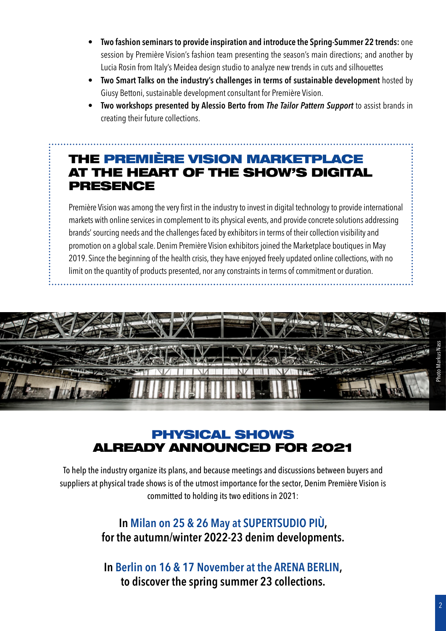- **• Two fashion seminars to provide inspiration and introduce the Spring-Summer 22 trends:** one session by Première Vision's fashion team presenting the season's main directions; and another by Lucia Rosin from Italy's Meidea design studio to analyze new trends in cuts and silhouettes
- **• Two Smart Talks on the industry's challenges in terms of sustainable development** hosted by Giusy Bettoni, sustainable development consultant for Première Vision.
- **• Two workshops presented by Alessio Berto from** *The Tailor Pattern Support* to assist brands in creating their future collections.

## THE PREMIÈRE VISION MARKETPLACE AT THE HEART OF THE SHOW'S DIGITAL PRESENCE

Première Vision was among the very first in the industry to invest in digital technology to provide international markets with online services in complement to its physical events, and provide concrete solutions addressing brands' sourcing needs and the challenges faced by exhibitors in terms of their collection visibility and promotion on a global scale. Denim Première Vision exhibitors joined the Marketplace boutiques in May 2019. Since the beginning of the health crisis, they have enjoyed freely updated online collections, with no limit on the quantity of products presented, nor any constraints in terms of commitment or duration.



### PHYSICAL SHOWS ALREADY ANNOUNCED FOR 2021

To help the industry organize its plans, and because meetings and discussions between buyers and suppliers at physical trade shows is of the utmost importance for the sector, Denim Première Vision is committed to holding its two editions in 2021:

### **In Milan on 25 & 26 May at SUPERTSUDIO PIÙ, for the autumn/winter 2022-23 denim developments.**

**In Berlin on 16 & 17 November at the ARENA BERLIN, to discover the spring summer 23 collections.**